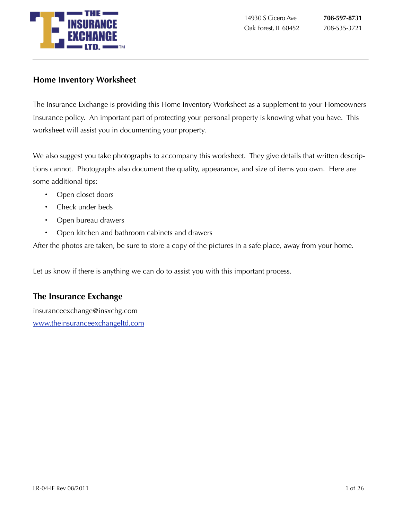

### **Home Inventory Worksheet**

The Insurance Exchange is providing this Home Inventory Worksheet as a supplement to your Homeowners Insurance policy. An important part of protecting your personal property is knowing what you have. This worksheet will assist you in documenting your property.

We also suggest you take photographs to accompany this worksheet. They give details that written descriptions cannot. Photographs also document the quality, appearance, and size of items you own. Here are some additional tips:

- Open closet doors
- Check under beds
- Open bureau drawers
- Open kitchen and bathroom cabinets and drawers

After the photos are taken, be sure to store a copy of the pictures in a safe place, away from your home.

Let us know if there is anything we can do to assist you with this important process.

### **The Insurance Exchange**

insuranceexchange@insxchg.com [www.theinsuranceexchangeltd.com](http://www.theinsuranceexchangeltd.com)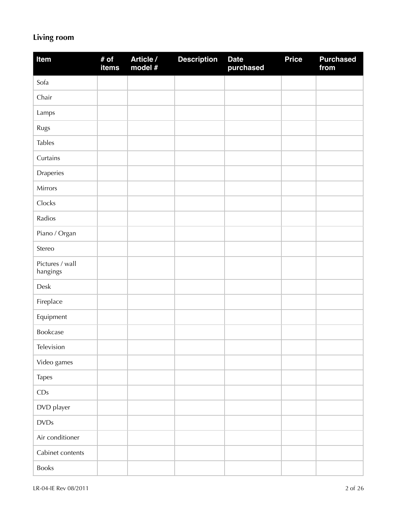### **Living room**

| Item                        | # of<br>items | Article /<br>model # | <b>Description</b> | <b>Date</b><br>purchased | <b>Price</b> | <b>Purchased</b><br>from |
|-----------------------------|---------------|----------------------|--------------------|--------------------------|--------------|--------------------------|
| Sofa                        |               |                      |                    |                          |              |                          |
| Chair                       |               |                      |                    |                          |              |                          |
| Lamps                       |               |                      |                    |                          |              |                          |
| Rugs                        |               |                      |                    |                          |              |                          |
| <b>Tables</b>               |               |                      |                    |                          |              |                          |
| Curtains                    |               |                      |                    |                          |              |                          |
| Draperies                   |               |                      |                    |                          |              |                          |
| Mirrors                     |               |                      |                    |                          |              |                          |
| Clocks                      |               |                      |                    |                          |              |                          |
| Radios                      |               |                      |                    |                          |              |                          |
| Piano / Organ               |               |                      |                    |                          |              |                          |
| Stereo                      |               |                      |                    |                          |              |                          |
| Pictures / wall<br>hangings |               |                      |                    |                          |              |                          |
| Desk                        |               |                      |                    |                          |              |                          |
| Fireplace                   |               |                      |                    |                          |              |                          |
| Equipment                   |               |                      |                    |                          |              |                          |
| Bookcase                    |               |                      |                    |                          |              |                          |
| Television                  |               |                      |                    |                          |              |                          |
| Video games                 |               |                      |                    |                          |              |                          |
| Tapes                       |               |                      |                    |                          |              |                          |
| CDs                         |               |                      |                    |                          |              |                          |
| DVD player                  |               |                      |                    |                          |              |                          |
| <b>DVDs</b>                 |               |                      |                    |                          |              |                          |
| Air conditioner             |               |                      |                    |                          |              |                          |
| Cabinet contents            |               |                      |                    |                          |              |                          |
| Books                       |               |                      |                    |                          |              |                          |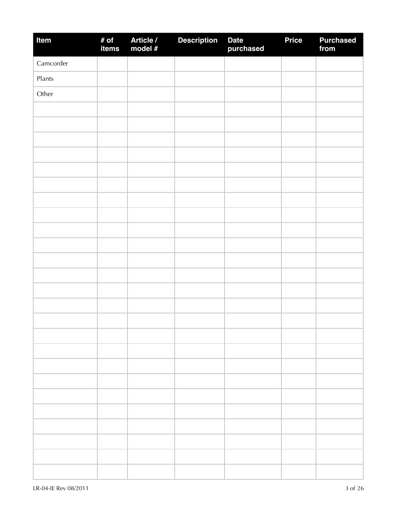| Item      | # of<br>items | Article /<br>model # | <b>Description</b> | Date<br>purchased | <b>Price</b> | <b>Purchased</b><br>from |
|-----------|---------------|----------------------|--------------------|-------------------|--------------|--------------------------|
| Camcorder |               |                      |                    |                   |              |                          |
| Plants    |               |                      |                    |                   |              |                          |
| Other     |               |                      |                    |                   |              |                          |
|           |               |                      |                    |                   |              |                          |
|           |               |                      |                    |                   |              |                          |
|           |               |                      |                    |                   |              |                          |
|           |               |                      |                    |                   |              |                          |
|           |               |                      |                    |                   |              |                          |
|           |               |                      |                    |                   |              |                          |
|           |               |                      |                    |                   |              |                          |
|           |               |                      |                    |                   |              |                          |
|           |               |                      |                    |                   |              |                          |
|           |               |                      |                    |                   |              |                          |
|           |               |                      |                    |                   |              |                          |
|           |               |                      |                    |                   |              |                          |
|           |               |                      |                    |                   |              |                          |
|           |               |                      |                    |                   |              |                          |
|           |               |                      |                    |                   |              |                          |
|           |               |                      |                    |                   |              |                          |
|           |               |                      |                    |                   |              |                          |
|           |               |                      |                    |                   |              |                          |
|           |               |                      |                    |                   |              |                          |
|           |               |                      |                    |                   |              |                          |
|           |               |                      |                    |                   |              |                          |
|           |               |                      |                    |                   |              |                          |
|           |               |                      |                    |                   |              |                          |
|           |               |                      |                    |                   |              |                          |
|           |               |                      |                    |                   |              |                          |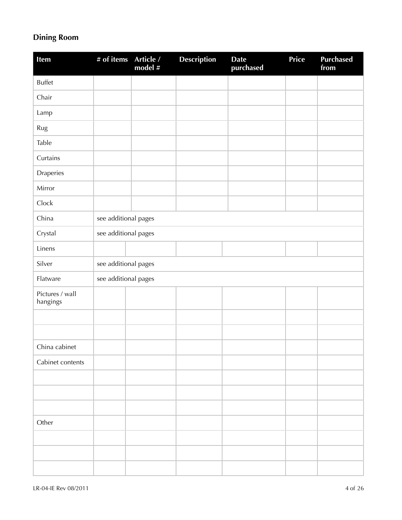## **Dining Room**

| <b>Item</b>                 | # of items           | Article /<br>model # | <b>Description</b> | <b>Date</b><br>purchased | Price | <b>Purchased</b><br>from |
|-----------------------------|----------------------|----------------------|--------------------|--------------------------|-------|--------------------------|
| <b>Buffet</b>               |                      |                      |                    |                          |       |                          |
| Chair                       |                      |                      |                    |                          |       |                          |
| Lamp                        |                      |                      |                    |                          |       |                          |
| Rug                         |                      |                      |                    |                          |       |                          |
| Table                       |                      |                      |                    |                          |       |                          |
| Curtains                    |                      |                      |                    |                          |       |                          |
| Draperies                   |                      |                      |                    |                          |       |                          |
| Mirror                      |                      |                      |                    |                          |       |                          |
| Clock                       |                      |                      |                    |                          |       |                          |
| China                       | see additional pages |                      |                    |                          |       |                          |
| Crystal                     | see additional pages |                      |                    |                          |       |                          |
| Linens                      |                      |                      |                    |                          |       |                          |
| Silver                      | see additional pages |                      |                    |                          |       |                          |
| Flatware                    | see additional pages |                      |                    |                          |       |                          |
| Pictures / wall<br>hangings |                      |                      |                    |                          |       |                          |
|                             |                      |                      |                    |                          |       |                          |
|                             |                      |                      |                    |                          |       |                          |
| China cabinet               |                      |                      |                    |                          |       |                          |
| Cabinet contents            |                      |                      |                    |                          |       |                          |
|                             |                      |                      |                    |                          |       |                          |
|                             |                      |                      |                    |                          |       |                          |
|                             |                      |                      |                    |                          |       |                          |
| Other                       |                      |                      |                    |                          |       |                          |
|                             |                      |                      |                    |                          |       |                          |
|                             |                      |                      |                    |                          |       |                          |
|                             |                      |                      |                    |                          |       |                          |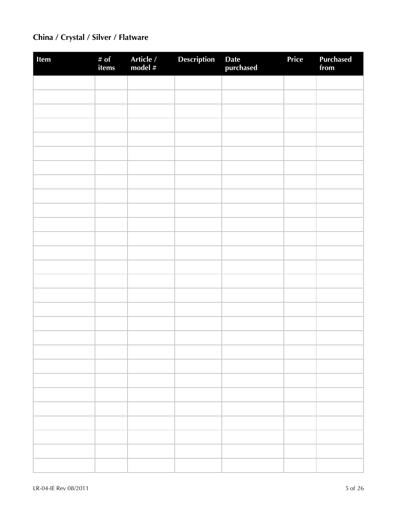## **China / Crystal / Silver / Flatware**

| Item | # of<br>items | Article /<br>model # | Description | Date<br>purchased | Price | <b>Purchased</b><br>from |
|------|---------------|----------------------|-------------|-------------------|-------|--------------------------|
|      |               |                      |             |                   |       |                          |
|      |               |                      |             |                   |       |                          |
|      |               |                      |             |                   |       |                          |
|      |               |                      |             |                   |       |                          |
|      |               |                      |             |                   |       |                          |
|      |               |                      |             |                   |       |                          |
|      |               |                      |             |                   |       |                          |
|      |               |                      |             |                   |       |                          |
|      |               |                      |             |                   |       |                          |
|      |               |                      |             |                   |       |                          |
|      |               |                      |             |                   |       |                          |
|      |               |                      |             |                   |       |                          |
|      |               |                      |             |                   |       |                          |
|      |               |                      |             |                   |       |                          |
|      |               |                      |             |                   |       |                          |
|      |               |                      |             |                   |       |                          |
|      |               |                      |             |                   |       |                          |
|      |               |                      |             |                   |       |                          |
|      |               |                      |             |                   |       |                          |
|      |               |                      |             |                   |       |                          |
|      |               |                      |             |                   |       |                          |
|      |               |                      |             |                   |       |                          |
|      |               |                      |             |                   |       |                          |
|      |               |                      |             |                   |       |                          |
|      |               |                      |             |                   |       |                          |
|      |               |                      |             |                   |       |                          |
|      |               |                      |             |                   |       |                          |
|      |               |                      |             |                   |       |                          |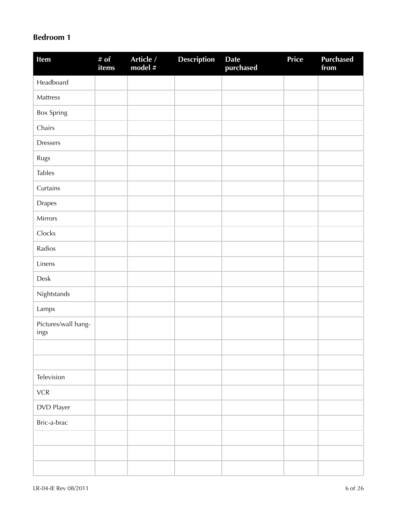### **Bedroom 1**

| Item                        | # of<br>items | Article /<br>model # | <b>Description</b> | <b>Date</b><br>purchased | <b>Price</b> | <b>Purchased</b><br>from |
|-----------------------------|---------------|----------------------|--------------------|--------------------------|--------------|--------------------------|
| Headboard                   |               |                      |                    |                          |              |                          |
| Mattress                    |               |                      |                    |                          |              |                          |
| <b>Box Spring</b>           |               |                      |                    |                          |              |                          |
| Chairs                      |               |                      |                    |                          |              |                          |
| <b>Dressers</b>             |               |                      |                    |                          |              |                          |
| Rugs                        |               |                      |                    |                          |              |                          |
| <b>Tables</b>               |               |                      |                    |                          |              |                          |
| Curtains                    |               |                      |                    |                          |              |                          |
| <b>Drapes</b>               |               |                      |                    |                          |              |                          |
| Mirrors                     |               |                      |                    |                          |              |                          |
| Clocks                      |               |                      |                    |                          |              |                          |
| Radios                      |               |                      |                    |                          |              |                          |
| Linens                      |               |                      |                    |                          |              |                          |
| Desk                        |               |                      |                    |                          |              |                          |
| Nightstands                 |               |                      |                    |                          |              |                          |
| Lamps                       |               |                      |                    |                          |              |                          |
| Pictures/wall hang-<br>ings |               |                      |                    |                          |              |                          |
|                             |               |                      |                    |                          |              |                          |
|                             |               |                      |                    |                          |              |                          |
| Television                  |               |                      |                    |                          |              |                          |
| ${\sf VCR}$                 |               |                      |                    |                          |              |                          |
| DVD Player                  |               |                      |                    |                          |              |                          |
| Bric-a-brac                 |               |                      |                    |                          |              |                          |
|                             |               |                      |                    |                          |              |                          |
|                             |               |                      |                    |                          |              |                          |
|                             |               |                      |                    |                          |              |                          |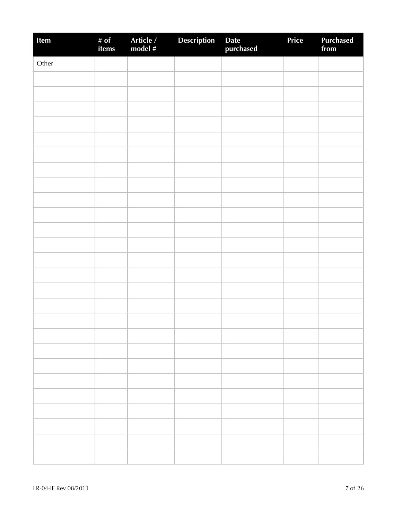| Item  | # of<br>items | Article /<br>model # | <b>Description</b> | Date<br>purchased | Price | Purchased<br>from |
|-------|---------------|----------------------|--------------------|-------------------|-------|-------------------|
| Other |               |                      |                    |                   |       |                   |
|       |               |                      |                    |                   |       |                   |
|       |               |                      |                    |                   |       |                   |
|       |               |                      |                    |                   |       |                   |
|       |               |                      |                    |                   |       |                   |
|       |               |                      |                    |                   |       |                   |
|       |               |                      |                    |                   |       |                   |
|       |               |                      |                    |                   |       |                   |
|       |               |                      |                    |                   |       |                   |
|       |               |                      |                    |                   |       |                   |
|       |               |                      |                    |                   |       |                   |
|       |               |                      |                    |                   |       |                   |
|       |               |                      |                    |                   |       |                   |
|       |               |                      |                    |                   |       |                   |
|       |               |                      |                    |                   |       |                   |
|       |               |                      |                    |                   |       |                   |
|       |               |                      |                    |                   |       |                   |
|       |               |                      |                    |                   |       |                   |
|       |               |                      |                    |                   |       |                   |
|       |               |                      |                    |                   |       |                   |
|       |               |                      |                    |                   |       |                   |
|       |               |                      |                    |                   |       |                   |
|       |               |                      |                    |                   |       |                   |
|       |               |                      |                    |                   |       |                   |
|       |               |                      |                    |                   |       |                   |
|       |               |                      |                    |                   |       |                   |
|       |               |                      |                    |                   |       |                   |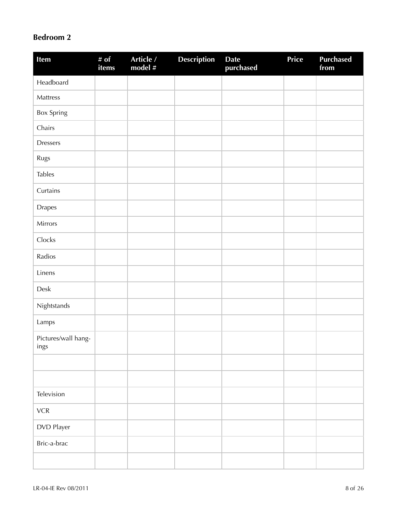### **Bedroom 2**

| Item                        | # of<br>items | Article /<br>model $#$ | <b>Description</b> | <b>Date</b><br>purchased | Price | <b>Purchased</b><br>from |
|-----------------------------|---------------|------------------------|--------------------|--------------------------|-------|--------------------------|
| Headboard                   |               |                        |                    |                          |       |                          |
| Mattress                    |               |                        |                    |                          |       |                          |
| Box Spring                  |               |                        |                    |                          |       |                          |
| Chairs                      |               |                        |                    |                          |       |                          |
| <b>Dressers</b>             |               |                        |                    |                          |       |                          |
| Rugs                        |               |                        |                    |                          |       |                          |
| <b>Tables</b>               |               |                        |                    |                          |       |                          |
| Curtains                    |               |                        |                    |                          |       |                          |
| <b>Drapes</b>               |               |                        |                    |                          |       |                          |
| Mirrors                     |               |                        |                    |                          |       |                          |
| Clocks                      |               |                        |                    |                          |       |                          |
| Radios                      |               |                        |                    |                          |       |                          |
| Linens                      |               |                        |                    |                          |       |                          |
| Desk                        |               |                        |                    |                          |       |                          |
| Nightstands                 |               |                        |                    |                          |       |                          |
| Lamps                       |               |                        |                    |                          |       |                          |
| Pictures/wall hang-<br>ings |               |                        |                    |                          |       |                          |
|                             |               |                        |                    |                          |       |                          |
|                             |               |                        |                    |                          |       |                          |
| Television                  |               |                        |                    |                          |       |                          |
| ${\sf VCR}$                 |               |                        |                    |                          |       |                          |
| DVD Player                  |               |                        |                    |                          |       |                          |
| Bric-a-brac                 |               |                        |                    |                          |       |                          |
|                             |               |                        |                    |                          |       |                          |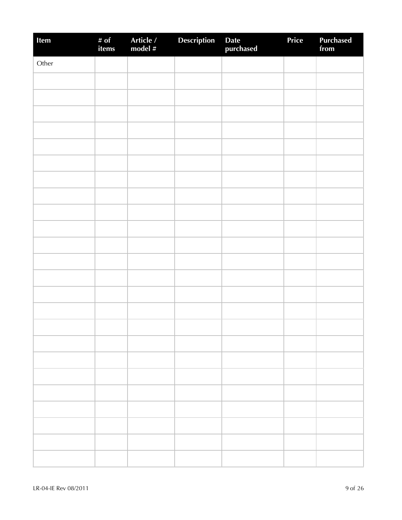| Item  | # of<br>items | Article /<br>model # | Description | Date<br>purchased | Price | <b>Purchased</b><br>from |
|-------|---------------|----------------------|-------------|-------------------|-------|--------------------------|
| Other |               |                      |             |                   |       |                          |
|       |               |                      |             |                   |       |                          |
|       |               |                      |             |                   |       |                          |
|       |               |                      |             |                   |       |                          |
|       |               |                      |             |                   |       |                          |
|       |               |                      |             |                   |       |                          |
|       |               |                      |             |                   |       |                          |
|       |               |                      |             |                   |       |                          |
|       |               |                      |             |                   |       |                          |
|       |               |                      |             |                   |       |                          |
|       |               |                      |             |                   |       |                          |
|       |               |                      |             |                   |       |                          |
|       |               |                      |             |                   |       |                          |
|       |               |                      |             |                   |       |                          |
|       |               |                      |             |                   |       |                          |
|       |               |                      |             |                   |       |                          |
|       |               |                      |             |                   |       |                          |
|       |               |                      |             |                   |       |                          |
|       |               |                      |             |                   |       |                          |
|       |               |                      |             |                   |       |                          |
|       |               |                      |             |                   |       |                          |
|       |               |                      |             |                   |       |                          |
|       |               |                      |             |                   |       |                          |
|       |               |                      |             |                   |       |                          |
|       |               |                      |             |                   |       |                          |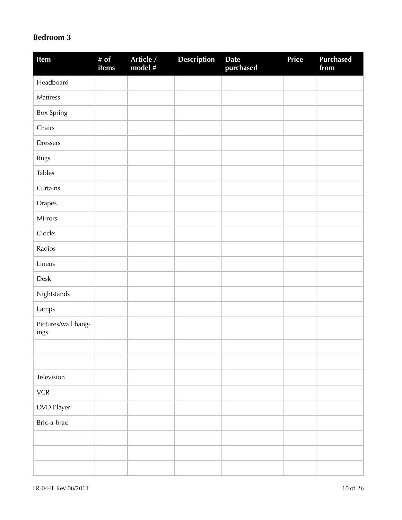### **Bedroom 3**

| Item                        | # $of$<br>items | Article /<br>model # | <b>Description</b> | <b>Date</b><br>purchased | Price | <b>Purchased</b><br>from |
|-----------------------------|-----------------|----------------------|--------------------|--------------------------|-------|--------------------------|
| Headboard                   |                 |                      |                    |                          |       |                          |
| Mattress                    |                 |                      |                    |                          |       |                          |
| <b>Box Spring</b>           |                 |                      |                    |                          |       |                          |
| Chairs                      |                 |                      |                    |                          |       |                          |
| <b>Dressers</b>             |                 |                      |                    |                          |       |                          |
| Rugs                        |                 |                      |                    |                          |       |                          |
| <b>Tables</b>               |                 |                      |                    |                          |       |                          |
| Curtains                    |                 |                      |                    |                          |       |                          |
| <b>Drapes</b>               |                 |                      |                    |                          |       |                          |
| Mirrors                     |                 |                      |                    |                          |       |                          |
| Clocks                      |                 |                      |                    |                          |       |                          |
| Radios                      |                 |                      |                    |                          |       |                          |
| Linens                      |                 |                      |                    |                          |       |                          |
| Desk                        |                 |                      |                    |                          |       |                          |
| Nightstands                 |                 |                      |                    |                          |       |                          |
| Lamps                       |                 |                      |                    |                          |       |                          |
| Pictures/wall hang-<br>ings |                 |                      |                    |                          |       |                          |
|                             |                 |                      |                    |                          |       |                          |
|                             |                 |                      |                    |                          |       |                          |
| Television                  |                 |                      |                    |                          |       |                          |
| ${\sf VCR}$                 |                 |                      |                    |                          |       |                          |
| DVD Player                  |                 |                      |                    |                          |       |                          |
| Bric-a-brac                 |                 |                      |                    |                          |       |                          |
|                             |                 |                      |                    |                          |       |                          |
|                             |                 |                      |                    |                          |       |                          |
|                             |                 |                      |                    |                          |       |                          |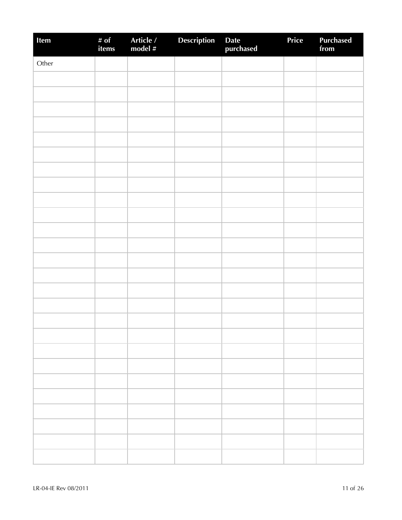| Item  | # of<br>items | Article /<br>model # | Description | Date<br>purchased | Price | Purchased<br>from |
|-------|---------------|----------------------|-------------|-------------------|-------|-------------------|
| Other |               |                      |             |                   |       |                   |
|       |               |                      |             |                   |       |                   |
|       |               |                      |             |                   |       |                   |
|       |               |                      |             |                   |       |                   |
|       |               |                      |             |                   |       |                   |
|       |               |                      |             |                   |       |                   |
|       |               |                      |             |                   |       |                   |
|       |               |                      |             |                   |       |                   |
|       |               |                      |             |                   |       |                   |
|       |               |                      |             |                   |       |                   |
|       |               |                      |             |                   |       |                   |
|       |               |                      |             |                   |       |                   |
|       |               |                      |             |                   |       |                   |
|       |               |                      |             |                   |       |                   |
|       |               |                      |             |                   |       |                   |
|       |               |                      |             |                   |       |                   |
|       |               |                      |             |                   |       |                   |
|       |               |                      |             |                   |       |                   |
|       |               |                      |             |                   |       |                   |
|       |               |                      |             |                   |       |                   |
|       |               |                      |             |                   |       |                   |
|       |               |                      |             |                   |       |                   |
|       |               |                      |             |                   |       |                   |
|       |               |                      |             |                   |       |                   |
|       |               |                      |             |                   |       |                   |
|       |               |                      |             |                   |       |                   |
|       |               |                      |             |                   |       |                   |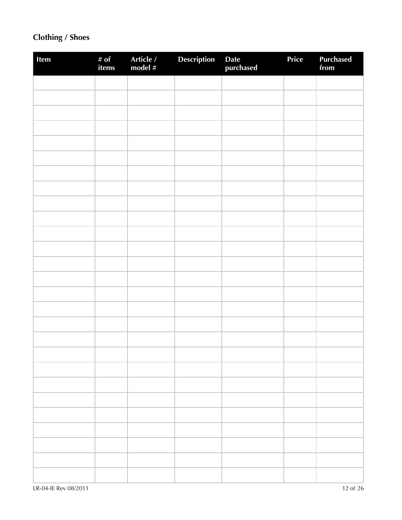## **Clothing / Shoes**

| Item | # of<br>items | Article /<br>model # | Description | Date<br>purchased | Price | Purchased<br>from |
|------|---------------|----------------------|-------------|-------------------|-------|-------------------|
|      |               |                      |             |                   |       |                   |
|      |               |                      |             |                   |       |                   |
|      |               |                      |             |                   |       |                   |
|      |               |                      |             |                   |       |                   |
|      |               |                      |             |                   |       |                   |
|      |               |                      |             |                   |       |                   |
|      |               |                      |             |                   |       |                   |
|      |               |                      |             |                   |       |                   |
|      |               |                      |             |                   |       |                   |
|      |               |                      |             |                   |       |                   |
|      |               |                      |             |                   |       |                   |
|      |               |                      |             |                   |       |                   |
|      |               |                      |             |                   |       |                   |
|      |               |                      |             |                   |       |                   |
|      |               |                      |             |                   |       |                   |
|      |               |                      |             |                   |       |                   |
|      |               |                      |             |                   |       |                   |
|      |               |                      |             |                   |       |                   |
|      |               |                      |             |                   |       |                   |
|      |               |                      |             |                   |       |                   |
|      |               |                      |             |                   |       |                   |
|      |               |                      |             |                   |       |                   |
|      |               |                      |             |                   |       |                   |
|      |               |                      |             |                   |       |                   |
|      |               |                      |             |                   |       |                   |
|      |               |                      |             |                   |       |                   |
|      |               |                      |             |                   |       |                   |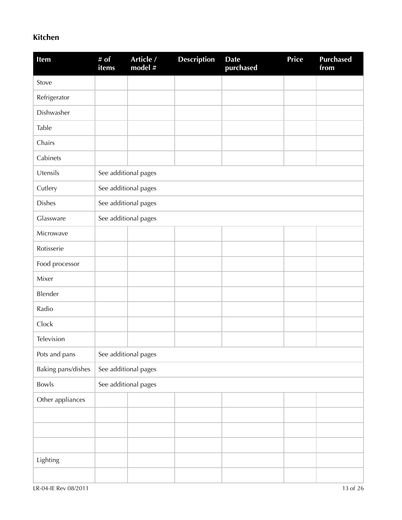### **Kitchen**

| Item               | # of<br><i>items</i> | Article /<br>model # | <b>Description</b> | <b>Date</b><br>purchased | <b>Price</b> | <b>Purchased</b><br>from |
|--------------------|----------------------|----------------------|--------------------|--------------------------|--------------|--------------------------|
| Stove              |                      |                      |                    |                          |              |                          |
| Refrigerator       |                      |                      |                    |                          |              |                          |
| Dishwasher         |                      |                      |                    |                          |              |                          |
| Table              |                      |                      |                    |                          |              |                          |
| Chairs             |                      |                      |                    |                          |              |                          |
| Cabinets           |                      |                      |                    |                          |              |                          |
| Utensils           |                      | See additional pages |                    |                          |              |                          |
| Cutlery            |                      | See additional pages |                    |                          |              |                          |
| <b>Dishes</b>      |                      | See additional pages |                    |                          |              |                          |
| Glassware          |                      | See additional pages |                    |                          |              |                          |
| Microwave          |                      |                      |                    |                          |              |                          |
| Rotisserie         |                      |                      |                    |                          |              |                          |
| Food processor     |                      |                      |                    |                          |              |                          |
| Mixer              |                      |                      |                    |                          |              |                          |
| Blender            |                      |                      |                    |                          |              |                          |
| Radio              |                      |                      |                    |                          |              |                          |
| Clock              |                      |                      |                    |                          |              |                          |
| Television         |                      |                      |                    |                          |              |                          |
| Pots and pans      |                      | See additional pages |                    |                          |              |                          |
| Baking pans/dishes |                      | See additional pages |                    |                          |              |                          |
| Bowls              |                      | See additional pages |                    |                          |              |                          |
| Other appliances   |                      |                      |                    |                          |              |                          |
|                    |                      |                      |                    |                          |              |                          |
|                    |                      |                      |                    |                          |              |                          |
|                    |                      |                      |                    |                          |              |                          |
| Lighting           |                      |                      |                    |                          |              |                          |
|                    |                      |                      |                    |                          |              |                          |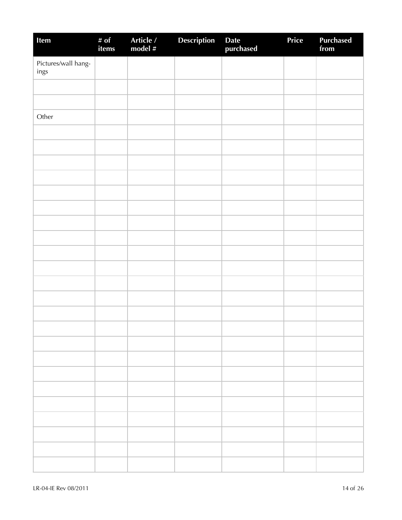| Item                        | # of<br>items | Article /<br>model # | <b>Description</b> | Date<br>purchased | Price | <b>Purchased</b><br>from |
|-----------------------------|---------------|----------------------|--------------------|-------------------|-------|--------------------------|
| Pictures/wall hang-<br>ings |               |                      |                    |                   |       |                          |
|                             |               |                      |                    |                   |       |                          |
|                             |               |                      |                    |                   |       |                          |
| Other                       |               |                      |                    |                   |       |                          |
|                             |               |                      |                    |                   |       |                          |
|                             |               |                      |                    |                   |       |                          |
|                             |               |                      |                    |                   |       |                          |
|                             |               |                      |                    |                   |       |                          |
|                             |               |                      |                    |                   |       |                          |
|                             |               |                      |                    |                   |       |                          |
|                             |               |                      |                    |                   |       |                          |
|                             |               |                      |                    |                   |       |                          |
|                             |               |                      |                    |                   |       |                          |
|                             |               |                      |                    |                   |       |                          |
|                             |               |                      |                    |                   |       |                          |
|                             |               |                      |                    |                   |       |                          |
|                             |               |                      |                    |                   |       |                          |
|                             |               |                      |                    |                   |       |                          |
|                             |               |                      |                    |                   |       |                          |
|                             |               |                      |                    |                   |       |                          |
|                             |               |                      |                    |                   |       |                          |
|                             |               |                      |                    |                   |       |                          |
|                             |               |                      |                    |                   |       |                          |
|                             |               |                      |                    |                   |       |                          |
|                             |               |                      |                    |                   |       |                          |
|                             |               |                      |                    |                   |       |                          |
|                             |               |                      |                    |                   |       |                          |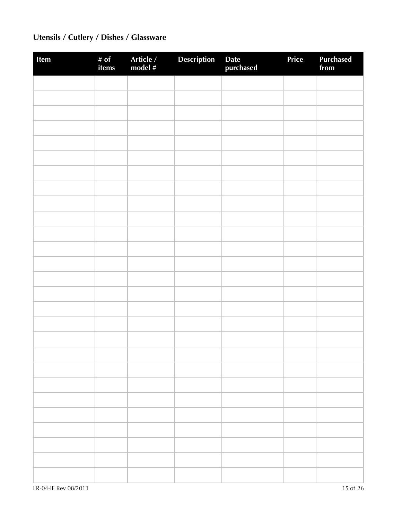# **Utensils / Cutlery / Dishes / Glassware**

| Item | # of<br>items | Article /<br>model # | Description | Date<br>purchased | Price | <b>Purchased</b><br>from |
|------|---------------|----------------------|-------------|-------------------|-------|--------------------------|
|      |               |                      |             |                   |       |                          |
|      |               |                      |             |                   |       |                          |
|      |               |                      |             |                   |       |                          |
|      |               |                      |             |                   |       |                          |
|      |               |                      |             |                   |       |                          |
|      |               |                      |             |                   |       |                          |
|      |               |                      |             |                   |       |                          |
|      |               |                      |             |                   |       |                          |
|      |               |                      |             |                   |       |                          |
|      |               |                      |             |                   |       |                          |
|      |               |                      |             |                   |       |                          |
|      |               |                      |             |                   |       |                          |
|      |               |                      |             |                   |       |                          |
|      |               |                      |             |                   |       |                          |
|      |               |                      |             |                   |       |                          |
|      |               |                      |             |                   |       |                          |
|      |               |                      |             |                   |       |                          |
|      |               |                      |             |                   |       |                          |
|      |               |                      |             |                   |       |                          |
|      |               |                      |             |                   |       |                          |
|      |               |                      |             |                   |       |                          |
|      |               |                      |             |                   |       |                          |
|      |               |                      |             |                   |       |                          |
|      |               |                      |             |                   |       |                          |
|      |               |                      |             |                   |       |                          |
|      |               |                      |             |                   |       |                          |
|      |               |                      |             |                   |       |                          |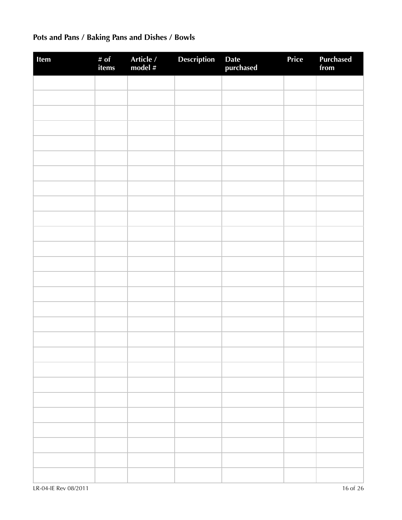# **Pots and Pans / Baking Pans and Dishes / Bowls**

| Item | # of<br>items | Article /<br>model # | Description | Date<br>purchased | Price | <b>Purchased</b><br>from |
|------|---------------|----------------------|-------------|-------------------|-------|--------------------------|
|      |               |                      |             |                   |       |                          |
|      |               |                      |             |                   |       |                          |
|      |               |                      |             |                   |       |                          |
|      |               |                      |             |                   |       |                          |
|      |               |                      |             |                   |       |                          |
|      |               |                      |             |                   |       |                          |
|      |               |                      |             |                   |       |                          |
|      |               |                      |             |                   |       |                          |
|      |               |                      |             |                   |       |                          |
|      |               |                      |             |                   |       |                          |
|      |               |                      |             |                   |       |                          |
|      |               |                      |             |                   |       |                          |
|      |               |                      |             |                   |       |                          |
|      |               |                      |             |                   |       |                          |
|      |               |                      |             |                   |       |                          |
|      |               |                      |             |                   |       |                          |
|      |               |                      |             |                   |       |                          |
|      |               |                      |             |                   |       |                          |
|      |               |                      |             |                   |       |                          |
|      |               |                      |             |                   |       |                          |
|      |               |                      |             |                   |       |                          |
|      |               |                      |             |                   |       |                          |
|      |               |                      |             |                   |       |                          |
|      |               |                      |             |                   |       |                          |
|      |               |                      |             |                   |       |                          |
|      |               |                      |             |                   |       |                          |
|      |               |                      |             |                   |       |                          |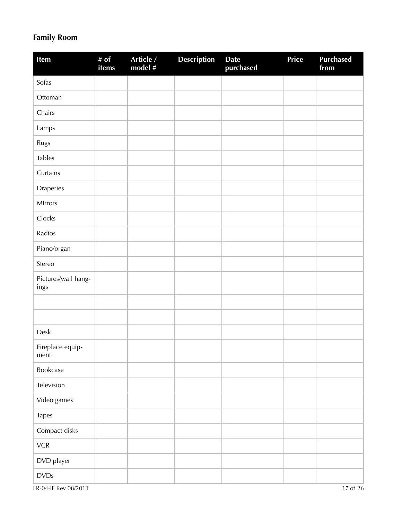## **Family Room**

| Item                        | # of<br>items | Article /<br>model # | <b>Description</b> | <b>Date</b><br>purchased | Price | <b>Purchased</b><br>from |
|-----------------------------|---------------|----------------------|--------------------|--------------------------|-------|--------------------------|
| Sofas                       |               |                      |                    |                          |       |                          |
| Ottoman                     |               |                      |                    |                          |       |                          |
| Chairs                      |               |                      |                    |                          |       |                          |
| Lamps                       |               |                      |                    |                          |       |                          |
| Rugs                        |               |                      |                    |                          |       |                          |
| <b>Tables</b>               |               |                      |                    |                          |       |                          |
| Curtains                    |               |                      |                    |                          |       |                          |
| Draperies                   |               |                      |                    |                          |       |                          |
| MIrrors                     |               |                      |                    |                          |       |                          |
| Clocks                      |               |                      |                    |                          |       |                          |
| Radios                      |               |                      |                    |                          |       |                          |
| Piano/organ                 |               |                      |                    |                          |       |                          |
| Stereo                      |               |                      |                    |                          |       |                          |
| Pictures/wall hang-<br>ings |               |                      |                    |                          |       |                          |
|                             |               |                      |                    |                          |       |                          |
|                             |               |                      |                    |                          |       |                          |
| Desk                        |               |                      |                    |                          |       |                          |
| Fireplace equip-<br>ment    |               |                      |                    |                          |       |                          |
| Bookcase                    |               |                      |                    |                          |       |                          |
| Television                  |               |                      |                    |                          |       |                          |
| Video games                 |               |                      |                    |                          |       |                          |
| Tapes                       |               |                      |                    |                          |       |                          |
| Compact disks               |               |                      |                    |                          |       |                          |
| ${\sf VCR}$                 |               |                      |                    |                          |       |                          |
| DVD player                  |               |                      |                    |                          |       |                          |
| $\textsf{DVDs}$             |               |                      |                    |                          |       |                          |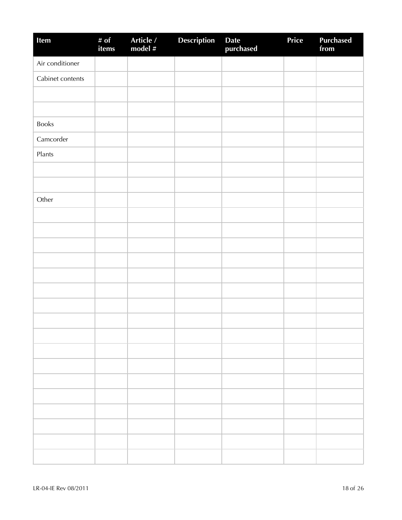| Item             | # of<br>items | Article /<br>model # | <b>Description</b> | Date<br>purchased | Price | <b>Purchased</b><br>from |
|------------------|---------------|----------------------|--------------------|-------------------|-------|--------------------------|
| Air conditioner  |               |                      |                    |                   |       |                          |
| Cabinet contents |               |                      |                    |                   |       |                          |
|                  |               |                      |                    |                   |       |                          |
|                  |               |                      |                    |                   |       |                          |
| <b>Books</b>     |               |                      |                    |                   |       |                          |
| Camcorder        |               |                      |                    |                   |       |                          |
| Plants           |               |                      |                    |                   |       |                          |
|                  |               |                      |                    |                   |       |                          |
|                  |               |                      |                    |                   |       |                          |
| Other            |               |                      |                    |                   |       |                          |
|                  |               |                      |                    |                   |       |                          |
|                  |               |                      |                    |                   |       |                          |
|                  |               |                      |                    |                   |       |                          |
|                  |               |                      |                    |                   |       |                          |
|                  |               |                      |                    |                   |       |                          |
|                  |               |                      |                    |                   |       |                          |
|                  |               |                      |                    |                   |       |                          |
|                  |               |                      |                    |                   |       |                          |
|                  |               |                      |                    |                   |       |                          |
|                  |               |                      |                    |                   |       |                          |
|                  |               |                      |                    |                   |       |                          |
|                  |               |                      |                    |                   |       |                          |
|                  |               |                      |                    |                   |       |                          |
|                  |               |                      |                    |                   |       |                          |
|                  |               |                      |                    |                   |       |                          |
|                  |               |                      |                    |                   |       |                          |
|                  |               |                      |                    |                   |       |                          |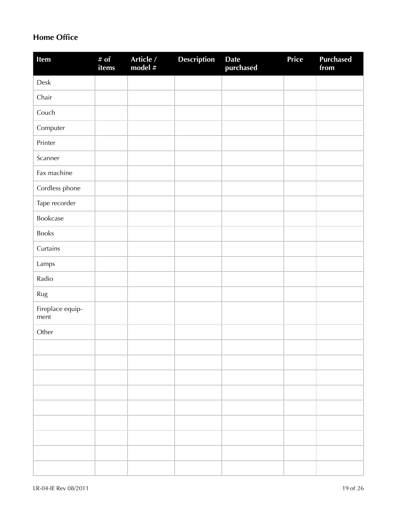### **Home Office**

| Item                     | # $of$<br>items | Article /<br>model # | <b>Description</b> | <b>Date</b><br>purchased | <b>Price</b> | <b>Purchased</b><br>from |
|--------------------------|-----------------|----------------------|--------------------|--------------------------|--------------|--------------------------|
| ${\sf Desk}$             |                 |                      |                    |                          |              |                          |
| Chair                    |                 |                      |                    |                          |              |                          |
| Couch                    |                 |                      |                    |                          |              |                          |
| Computer                 |                 |                      |                    |                          |              |                          |
| Printer                  |                 |                      |                    |                          |              |                          |
| Scanner                  |                 |                      |                    |                          |              |                          |
| Fax machine              |                 |                      |                    |                          |              |                          |
| Cordless phone           |                 |                      |                    |                          |              |                          |
| Tape recorder            |                 |                      |                    |                          |              |                          |
| Bookcase                 |                 |                      |                    |                          |              |                          |
| Books                    |                 |                      |                    |                          |              |                          |
| Curtains                 |                 |                      |                    |                          |              |                          |
| Lamps                    |                 |                      |                    |                          |              |                          |
| Radio                    |                 |                      |                    |                          |              |                          |
| Rug                      |                 |                      |                    |                          |              |                          |
| Fireplace equip-<br>ment |                 |                      |                    |                          |              |                          |
| Other                    |                 |                      |                    |                          |              |                          |
|                          |                 |                      |                    |                          |              |                          |
|                          |                 |                      |                    |                          |              |                          |
|                          |                 |                      |                    |                          |              |                          |
|                          |                 |                      |                    |                          |              |                          |
|                          |                 |                      |                    |                          |              |                          |
|                          |                 |                      |                    |                          |              |                          |
|                          |                 |                      |                    |                          |              |                          |
|                          |                 |                      |                    |                          |              |                          |
|                          |                 |                      |                    |                          |              |                          |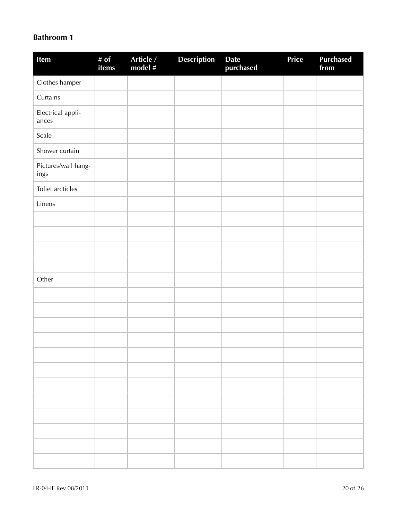#### **Bathroom 1**

| Item                        | # of<br>items | Article /<br>model # | <b>Description</b> | <b>Date</b><br>purchased | Price | <b>Purchased</b><br>from |
|-----------------------------|---------------|----------------------|--------------------|--------------------------|-------|--------------------------|
| Clothes hamper              |               |                      |                    |                          |       |                          |
| Curtains                    |               |                      |                    |                          |       |                          |
| Electrical appli-<br>ances  |               |                      |                    |                          |       |                          |
| Scale                       |               |                      |                    |                          |       |                          |
| Shower curtain              |               |                      |                    |                          |       |                          |
| Pictures/wall hang-<br>ings |               |                      |                    |                          |       |                          |
| Toliet arcticles            |               |                      |                    |                          |       |                          |
| Linens                      |               |                      |                    |                          |       |                          |
|                             |               |                      |                    |                          |       |                          |
|                             |               |                      |                    |                          |       |                          |
|                             |               |                      |                    |                          |       |                          |
|                             |               |                      |                    |                          |       |                          |
| Other                       |               |                      |                    |                          |       |                          |
|                             |               |                      |                    |                          |       |                          |
|                             |               |                      |                    |                          |       |                          |
|                             |               |                      |                    |                          |       |                          |
|                             |               |                      |                    |                          |       |                          |
|                             |               |                      |                    |                          |       |                          |
|                             |               |                      |                    |                          |       |                          |
|                             |               |                      |                    |                          |       |                          |
|                             |               |                      |                    |                          |       |                          |
|                             |               |                      |                    |                          |       |                          |
|                             |               |                      |                    |                          |       |                          |
|                             |               |                      |                    |                          |       |                          |
|                             |               |                      |                    |                          |       |                          |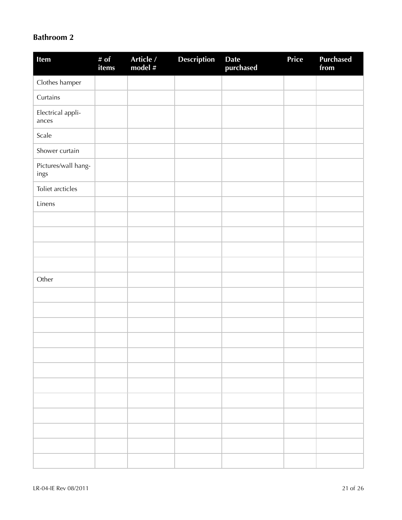### **Bathroom 2**

| Item                        | # of<br>items | Article /<br>model # | Description | Date<br>purchased | Price | <b>Purchased</b><br>from |
|-----------------------------|---------------|----------------------|-------------|-------------------|-------|--------------------------|
| Clothes hamper              |               |                      |             |                   |       |                          |
| Curtains                    |               |                      |             |                   |       |                          |
| Electrical appli-<br>ances  |               |                      |             |                   |       |                          |
| Scale                       |               |                      |             |                   |       |                          |
| Shower curtain              |               |                      |             |                   |       |                          |
| Pictures/wall hang-<br>ings |               |                      |             |                   |       |                          |
| Toliet arcticles            |               |                      |             |                   |       |                          |
| Linens                      |               |                      |             |                   |       |                          |
|                             |               |                      |             |                   |       |                          |
|                             |               |                      |             |                   |       |                          |
|                             |               |                      |             |                   |       |                          |
|                             |               |                      |             |                   |       |                          |
| Other                       |               |                      |             |                   |       |                          |
|                             |               |                      |             |                   |       |                          |
|                             |               |                      |             |                   |       |                          |
|                             |               |                      |             |                   |       |                          |
|                             |               |                      |             |                   |       |                          |
|                             |               |                      |             |                   |       |                          |
|                             |               |                      |             |                   |       |                          |
|                             |               |                      |             |                   |       |                          |
|                             |               |                      |             |                   |       |                          |
|                             |               |                      |             |                   |       |                          |
|                             |               |                      |             |                   |       |                          |
|                             |               |                      |             |                   |       |                          |
|                             |               |                      |             |                   |       |                          |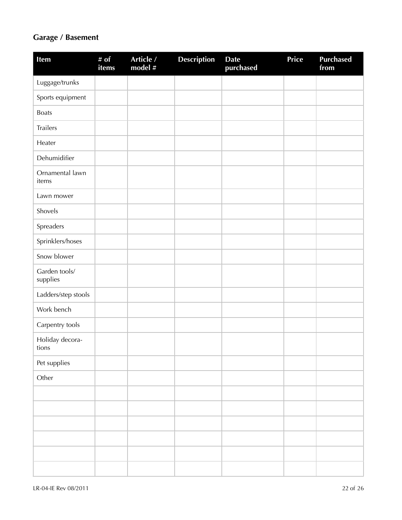## **Garage / Basement**

| Item                      | # $\overline{of}$<br>items | Article /<br>model # | <b>Description</b> | <b>Date</b><br>purchased | Price | <b>Purchased</b><br>from |
|---------------------------|----------------------------|----------------------|--------------------|--------------------------|-------|--------------------------|
| Luggage/trunks            |                            |                      |                    |                          |       |                          |
| Sports equipment          |                            |                      |                    |                          |       |                          |
| <b>Boats</b>              |                            |                      |                    |                          |       |                          |
| Trailers                  |                            |                      |                    |                          |       |                          |
| Heater                    |                            |                      |                    |                          |       |                          |
| Dehumidifier              |                            |                      |                    |                          |       |                          |
| Ornamental lawn<br>items  |                            |                      |                    |                          |       |                          |
| Lawn mower                |                            |                      |                    |                          |       |                          |
| Shovels                   |                            |                      |                    |                          |       |                          |
| Spreaders                 |                            |                      |                    |                          |       |                          |
| Sprinklers/hoses          |                            |                      |                    |                          |       |                          |
| Snow blower               |                            |                      |                    |                          |       |                          |
| Garden tools/<br>supplies |                            |                      |                    |                          |       |                          |
| Ladders/step stools       |                            |                      |                    |                          |       |                          |
| Work bench                |                            |                      |                    |                          |       |                          |
| Carpentry tools           |                            |                      |                    |                          |       |                          |
| Holiday decora-<br>tions  |                            |                      |                    |                          |       |                          |
| Pet supplies              |                            |                      |                    |                          |       |                          |
| Other                     |                            |                      |                    |                          |       |                          |
|                           |                            |                      |                    |                          |       |                          |
|                           |                            |                      |                    |                          |       |                          |
|                           |                            |                      |                    |                          |       |                          |
|                           |                            |                      |                    |                          |       |                          |
|                           |                            |                      |                    |                          |       |                          |
|                           |                            |                      |                    |                          |       |                          |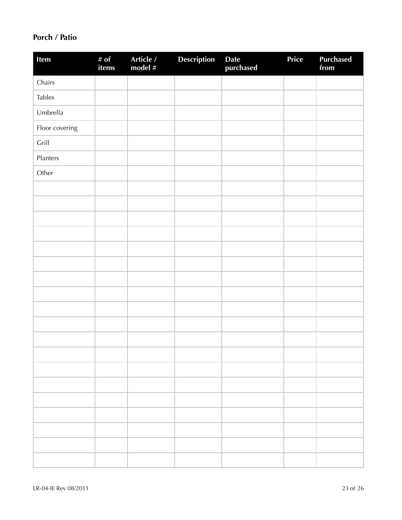### **Porch / Patio**

| Item           | # of<br>items | Article /<br>model # | <b>Description</b> | Date<br>purchased | Price | <b>Purchased</b><br>from |
|----------------|---------------|----------------------|--------------------|-------------------|-------|--------------------------|
| Chairs         |               |                      |                    |                   |       |                          |
| <b>Tables</b>  |               |                      |                    |                   |       |                          |
| Umbrella       |               |                      |                    |                   |       |                          |
| Floor covering |               |                      |                    |                   |       |                          |
| Grill          |               |                      |                    |                   |       |                          |
| Planters       |               |                      |                    |                   |       |                          |
| Other          |               |                      |                    |                   |       |                          |
|                |               |                      |                    |                   |       |                          |
|                |               |                      |                    |                   |       |                          |
|                |               |                      |                    |                   |       |                          |
|                |               |                      |                    |                   |       |                          |
|                |               |                      |                    |                   |       |                          |
|                |               |                      |                    |                   |       |                          |
|                |               |                      |                    |                   |       |                          |
|                |               |                      |                    |                   |       |                          |
|                |               |                      |                    |                   |       |                          |
|                |               |                      |                    |                   |       |                          |
|                |               |                      |                    |                   |       |                          |
|                |               |                      |                    |                   |       |                          |
|                |               |                      |                    |                   |       |                          |
|                |               |                      |                    |                   |       |                          |
|                |               |                      |                    |                   |       |                          |
|                |               |                      |                    |                   |       |                          |
|                |               |                      |                    |                   |       |                          |
|                |               |                      |                    |                   |       |                          |
|                |               |                      |                    |                   |       |                          |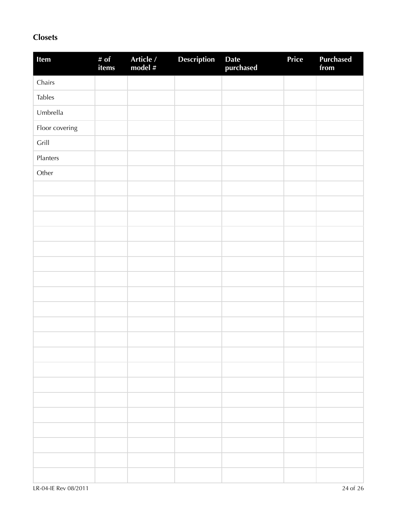### **Closets**

| Item           | # of<br>items | Article /<br>model # | Description | Date<br>purchased | Price | Purchased<br>from |
|----------------|---------------|----------------------|-------------|-------------------|-------|-------------------|
| Chairs         |               |                      |             |                   |       |                   |
| <b>Tables</b>  |               |                      |             |                   |       |                   |
| Umbrella       |               |                      |             |                   |       |                   |
| Floor covering |               |                      |             |                   |       |                   |
| Grill          |               |                      |             |                   |       |                   |
| Planters       |               |                      |             |                   |       |                   |
| Other          |               |                      |             |                   |       |                   |
|                |               |                      |             |                   |       |                   |
|                |               |                      |             |                   |       |                   |
|                |               |                      |             |                   |       |                   |
|                |               |                      |             |                   |       |                   |
|                |               |                      |             |                   |       |                   |
|                |               |                      |             |                   |       |                   |
|                |               |                      |             |                   |       |                   |
|                |               |                      |             |                   |       |                   |
|                |               |                      |             |                   |       |                   |
|                |               |                      |             |                   |       |                   |
|                |               |                      |             |                   |       |                   |
|                |               |                      |             |                   |       |                   |
|                |               |                      |             |                   |       |                   |
|                |               |                      |             |                   |       |                   |
|                |               |                      |             |                   |       |                   |
|                |               |                      |             |                   |       |                   |
|                |               |                      |             |                   |       |                   |
|                |               |                      |             |                   |       |                   |
|                |               |                      |             |                   |       |                   |
|                |               |                      |             |                   |       |                   |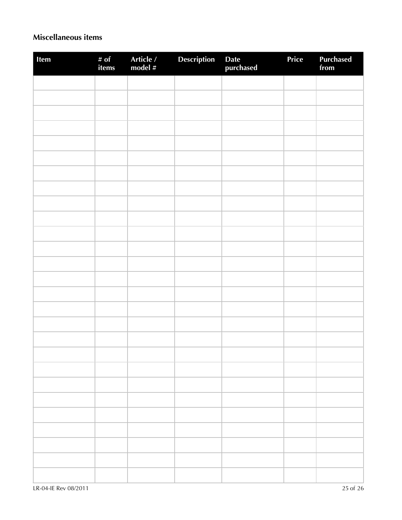### **Miscellaneous items**

| Item | # of<br>items | Article /<br>model # | Description | Date<br>purchased | Price | Purchased<br>from |
|------|---------------|----------------------|-------------|-------------------|-------|-------------------|
|      |               |                      |             |                   |       |                   |
|      |               |                      |             |                   |       |                   |
|      |               |                      |             |                   |       |                   |
|      |               |                      |             |                   |       |                   |
|      |               |                      |             |                   |       |                   |
|      |               |                      |             |                   |       |                   |
|      |               |                      |             |                   |       |                   |
|      |               |                      |             |                   |       |                   |
|      |               |                      |             |                   |       |                   |
|      |               |                      |             |                   |       |                   |
|      |               |                      |             |                   |       |                   |
|      |               |                      |             |                   |       |                   |
|      |               |                      |             |                   |       |                   |
|      |               |                      |             |                   |       |                   |
|      |               |                      |             |                   |       |                   |
|      |               |                      |             |                   |       |                   |
|      |               |                      |             |                   |       |                   |
|      |               |                      |             |                   |       |                   |
|      |               |                      |             |                   |       |                   |
|      |               |                      |             |                   |       |                   |
|      |               |                      |             |                   |       |                   |
|      |               |                      |             |                   |       |                   |
|      |               |                      |             |                   |       |                   |
|      |               |                      |             |                   |       |                   |
|      |               |                      |             |                   |       |                   |
|      |               |                      |             |                   |       |                   |
|      |               |                      |             |                   |       |                   |